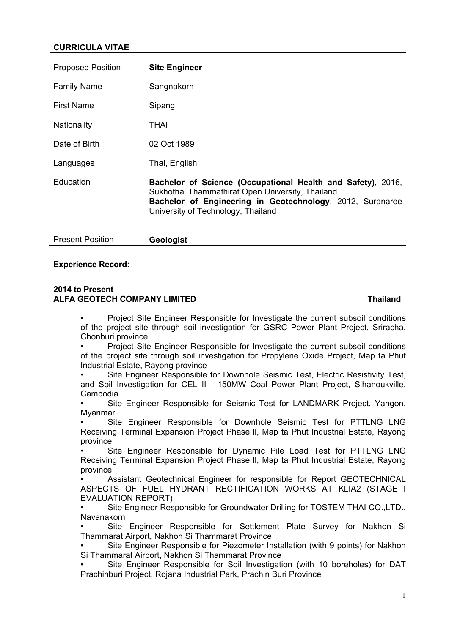## **CURRICULA VITAE**

| <b>Proposed Position</b> | <b>Site Engineer</b>                                                                                                                                                                                               |
|--------------------------|--------------------------------------------------------------------------------------------------------------------------------------------------------------------------------------------------------------------|
| <b>Family Name</b>       | Sangnakorn                                                                                                                                                                                                         |
| <b>First Name</b>        | Sipang                                                                                                                                                                                                             |
| Nationality              | THAI                                                                                                                                                                                                               |
| Date of Birth            | 02 Oct 1989                                                                                                                                                                                                        |
| Languages                | Thai, English                                                                                                                                                                                                      |
| Education                | Bachelor of Science (Occupational Health and Safety), 2016,<br>Sukhothai Thammathirat Open University, Thailand<br>Bachelor of Engineering in Geotechnology, 2012, Suranaree<br>University of Technology, Thailand |

| <b>Present Position</b> | Ge |
|-------------------------|----|
|-------------------------|----|

### **Experience Record:**

### **2014 to Present ALFA GEOTECH COMPANY LIMITED Thailand**

Present Position **Geologist**

• Project Site Engineer Responsible for Investigate the current subsoil conditions of the project site through soil investigation for GSRC Power Plant Project, Sriracha, Chonburi province

• Project Site Engineer Responsible for Investigate the current subsoil conditions of the project site through soil investigation for Propylene Oxide Project, Map ta Phut Industrial Estate, Rayong province

Site Engineer Responsible for Downhole Seismic Test, Electric Resistivity Test, and Soil Investigation for CEL II - 150MW Coal Power Plant Project, Sihanoukville, Cambodia

Site Engineer Responsible for Seismic Test for LANDMARK Project, Yangon, Myanmar

Site Engineer Responsible for Downhole Seismic Test for PTTLNG LNG Receiving Terminal Expansion Project Phase ll, Map ta Phut Industrial Estate, Rayong province

Site Engineer Responsible for Dynamic Pile Load Test for PTTLNG LNG Receiving Terminal Expansion Project Phase ll, Map ta Phut Industrial Estate, Rayong province

• Assistant Geotechnical Engineer for responsible for Report GEOTECHNICAL ASPECTS OF FUEL HYDRANT RECTIFICATION WORKS AT KLIA2 (STAGE I EVALUATION REPORT)

• Site Engineer Responsible for Groundwater Drilling for TOSTEM THAI CO.,LTD., Navanakorn

Site Engineer Responsible for Settlement Plate Survey for Nakhon Si Thammarat Airport, Nakhon Si Thammarat Province

• Site Engineer Responsible for Piezometer Installation (with 9 points) for Nakhon Si Thammarat Airport, Nakhon Si Thammarat Province

• Site Engineer Responsible for Soil Investigation (with 10 boreholes) for DAT Prachinburi Project, Rojana Industrial Park, Prachin Buri Province